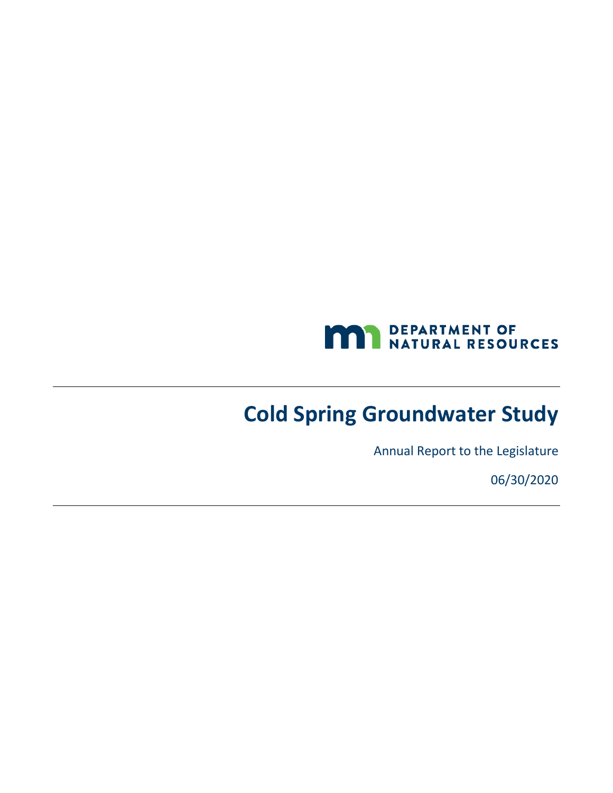

# **Cold Spring Groundwater Study**

Annual Report to the Legislature

06/30/2020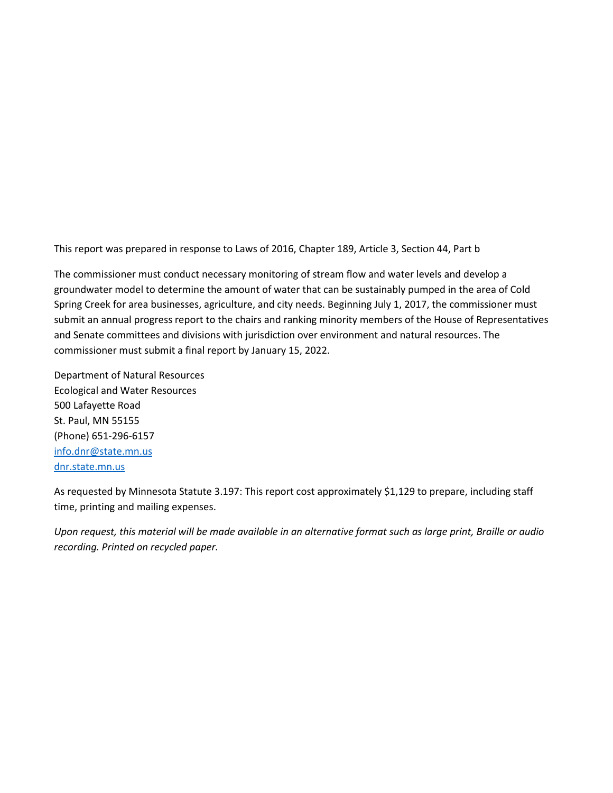This report was prepared in response to Laws of 2016, Chapter 189, Article 3, Section 44, Part b

The commissioner must conduct necessary monitoring of stream flow and water levels and develop a groundwater model to determine the amount of water that can be sustainably pumped in the area of Cold Spring Creek for area businesses, agriculture, and city needs. Beginning July 1, 2017, the commissioner must submit an annual progress report to the chairs and ranking minority members of the House of Representatives and Senate committees and divisions with jurisdiction over environment and natural resources. The commissioner must submit a final report by January 15, 2022.

Department of Natural Resources Ecological and Water Resources 500 Lafayette Road St. Paul, MN 55155 (Phone) 651-296-6157 [info.dnr@state.mn.us](mailto:info.dnr@state.mn.us) [dnr.state.mn.us](http://)

As requested by Minnesota Statute 3.197: This report cost approximately \$1,129 to prepare, including staff time, printing and mailing expenses.

*Upon request, this material will be made available in an alternative format such as large print, Braille or audio recording. Printed on recycled paper.*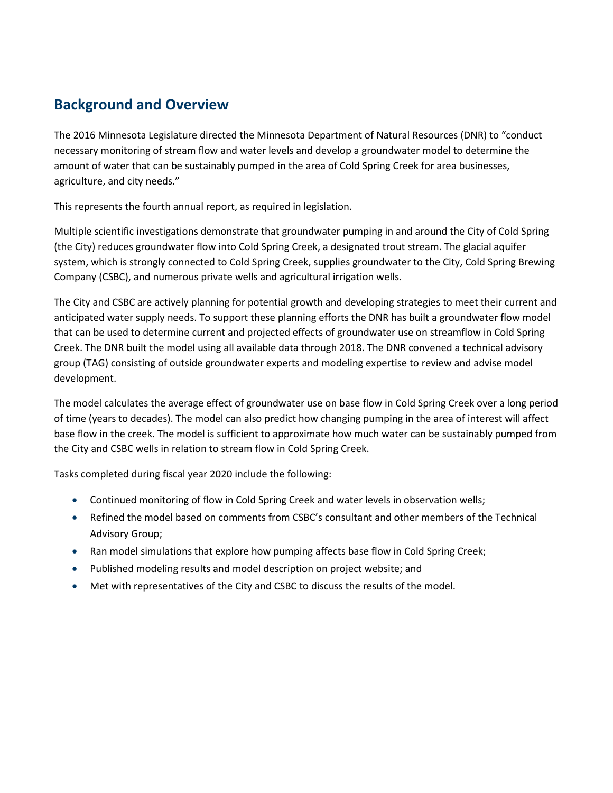## **Background and Overview**

The 2016 Minnesota Legislature directed the Minnesota Department of Natural Resources (DNR) to "conduct necessary monitoring of stream flow and water levels and develop a groundwater model to determine the amount of water that can be sustainably pumped in the area of Cold Spring Creek for area businesses, agriculture, and city needs."

This represents the fourth annual report, as required in legislation.

Multiple scientific investigations demonstrate that groundwater pumping in and around the City of Cold Spring (the City) reduces groundwater flow into Cold Spring Creek, a designated trout stream. The glacial aquifer system, which is strongly connected to Cold Spring Creek, supplies groundwater to the City, Cold Spring Brewing Company (CSBC), and numerous private wells and agricultural irrigation wells.

The City and CSBC are actively planning for potential growth and developing strategies to meet their current and anticipated water supply needs. To support these planning efforts the DNR has built a groundwater flow model that can be used to determine current and projected effects of groundwater use on streamflow in Cold Spring Creek. The DNR built the model using all available data through 2018. The DNR convened a technical advisory group (TAG) consisting of outside groundwater experts and modeling expertise to review and advise model development.

The model calculates the average effect of groundwater use on base flow in Cold Spring Creek over a long period of time (years to decades). The model can also predict how changing pumping in the area of interest will affect base flow in the creek. The model is sufficient to approximate how much water can be sustainably pumped from the City and CSBC wells in relation to stream flow in Cold Spring Creek.

Tasks completed during fiscal year 2020 include the following:

- Continued monitoring of flow in Cold Spring Creek and water levels in observation wells;
- Refined the model based on comments from CSBC's consultant and other members of the Technical Advisory Group;
- Ran model simulations that explore how pumping affects base flow in Cold Spring Creek;
- Published modeling results and model description on project website; and
- Met with representatives of the City and CSBC to discuss the results of the model.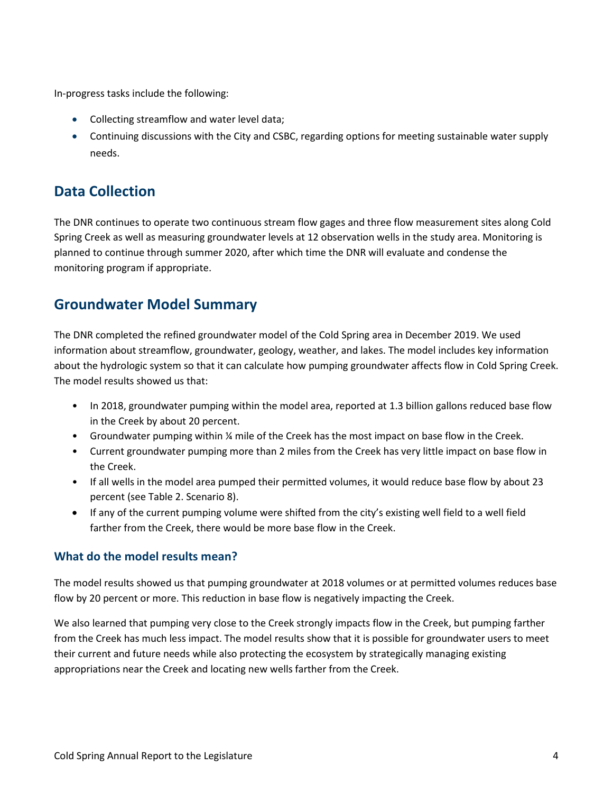In-progress tasks include the following:

- Collecting streamflow and water level data;
- Continuing discussions with the City and CSBC, regarding options for meeting sustainable water supply needs.

## **Data Collection**

The DNR continues to operate two continuous stream flow gages and three flow measurement sites along Cold Spring Creek as well as measuring groundwater levels at 12 observation wells in the study area. Monitoring is planned to continue through summer 2020, after which time the DNR will evaluate and condense the monitoring program if appropriate.

## **Groundwater Model Summary**

The DNR completed the refined groundwater model of the Cold Spring area in December 2019. We used information about streamflow, groundwater, geology, weather, and lakes. The model includes key information about the hydrologic system so that it can calculate how pumping groundwater affects flow in Cold Spring Creek. The model results showed us that:

- In 2018, groundwater pumping within the model area, reported at 1.3 billion gallons reduced base flow in the Creek by about 20 percent.
- Groundwater pumping within 1/4 mile of the Creek has the most impact on base flow in the Creek.
- Current groundwater pumping more than 2 miles from the Creek has very little impact on base flow in the Creek.
- If all wells in the model area pumped their permitted volumes, it would reduce base flow by about 23 percent (see Table 2. Scenario 8).
- If any of the current pumping volume were shifted from the city's existing well field to a well field farther from the Creek, there would be more base flow in the Creek.

#### **What do the model results mean?**

The model results showed us that pumping groundwater at 2018 volumes or at permitted volumes reduces base flow by 20 percent or more. This reduction in base flow is negatively impacting the Creek.

We also learned that pumping very close to the Creek strongly impacts flow in the Creek, but pumping farther from the Creek has much less impact. The model results show that it is possible for groundwater users to meet their current and future needs while also protecting the ecosystem by strategically managing existing appropriations near the Creek and locating new wells farther from the Creek.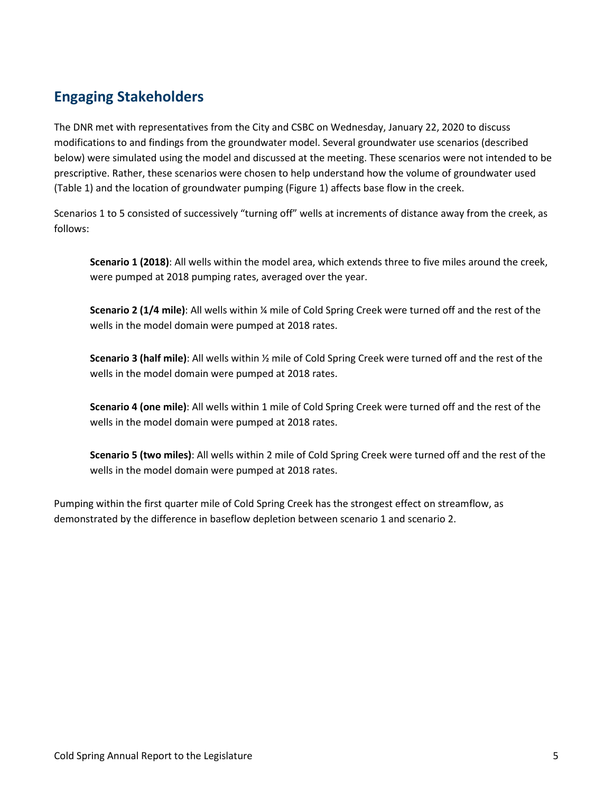# **Engaging Stakeholders**

The DNR met with representatives from the City and CSBC on Wednesday, January 22, 2020 to discuss modifications to and findings from the groundwater model. Several groundwater use scenarios (described below) were simulated using the model and discussed at the meeting. These scenarios were not intended to be prescriptive. Rather, these scenarios were chosen to help understand how the volume of groundwater used (Table 1) and the location of groundwater pumping (Figure 1) affects base flow in the creek.

Scenarios 1 to 5 consisted of successively "turning off" wells at increments of distance away from the creek, as follows:

**Scenario 1 (2018)**: All wells within the model area, which extends three to five miles around the creek, were pumped at 2018 pumping rates, averaged over the year.

**Scenario 2 (1/4 mile)**: All wells within ¼ mile of Cold Spring Creek were turned off and the rest of the wells in the model domain were pumped at 2018 rates.

**Scenario 3 (half mile)**: All wells within ½ mile of Cold Spring Creek were turned off and the rest of the wells in the model domain were pumped at 2018 rates.

**Scenario 4 (one mile)**: All wells within 1 mile of Cold Spring Creek were turned off and the rest of the wells in the model domain were pumped at 2018 rates.

**Scenario 5 (two miles)**: All wells within 2 mile of Cold Spring Creek were turned off and the rest of the wells in the model domain were pumped at 2018 rates.

Pumping within the first quarter mile of Cold Spring Creek has the strongest effect on streamflow, as demonstrated by the difference in baseflow depletion between scenario 1 and scenario 2.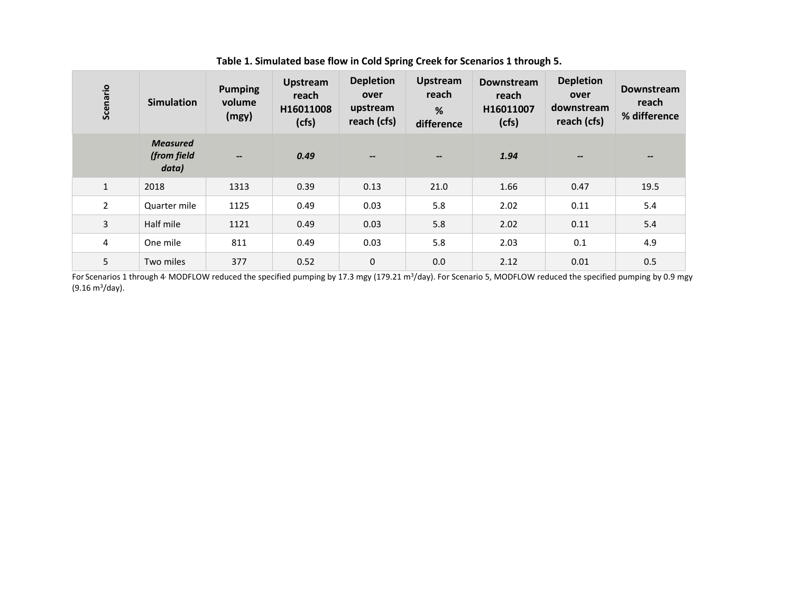| Scenario       | <b>Simulation</b>                       | <b>Pumping</b><br>volume<br>(mgy) | <b>Upstream</b><br>reach<br>H16011008<br>(cfs) | <b>Depletion</b><br>over<br>upstream<br>reach (cfs) | <b>Upstream</b><br>reach<br>%<br>difference | <b>Downstream</b><br>reach<br>H16011007<br>(cfs) | <b>Depletion</b><br>over<br>downstream<br>reach (cfs) | <b>Downstream</b><br>reach<br>% difference |
|----------------|-----------------------------------------|-----------------------------------|------------------------------------------------|-----------------------------------------------------|---------------------------------------------|--------------------------------------------------|-------------------------------------------------------|--------------------------------------------|
|                | <b>Measured</b><br>(from field<br>data) | $\overline{\phantom{a}}$          | 0.49                                           | $\hspace{0.05cm}$                                   | $\overline{\phantom{a}}$                    | 1.94                                             | $\overline{\phantom{a}}$                              | $\overline{\phantom{m}}$                   |
| $\mathbf{1}$   | 2018                                    | 1313                              | 0.39                                           | 0.13                                                | 21.0                                        | 1.66                                             | 0.47                                                  | 19.5                                       |
| $\overline{2}$ | Quarter mile                            | 1125                              | 0.49                                           | 0.03                                                | 5.8                                         | 2.02                                             | 0.11                                                  | 5.4                                        |
| 3              | Half mile                               | 1121                              | 0.49                                           | 0.03                                                | 5.8                                         | 2.02                                             | 0.11                                                  | 5.4                                        |
| 4              | One mile                                | 811                               | 0.49                                           | 0.03                                                | 5.8                                         | 2.03                                             | 0.1                                                   | 4.9                                        |
| 5              | Two miles                               | 377                               | 0.52                                           | $\pmb{0}$                                           | 0.0                                         | 2.12                                             | 0.01                                                  | 0.5                                        |

**Table 1. Simulated base flow in Cold Spring Creek for Scenarios 1 through 5.**

For Scenarios 1 through 4 MODFLOW reduced the specified pumping by 17.3 mgy (179.21 m<sup>3</sup>/day). For Scenario 5, MODFLOW reduced the specified pumping by 0.9 mgy (9.16 m3/day).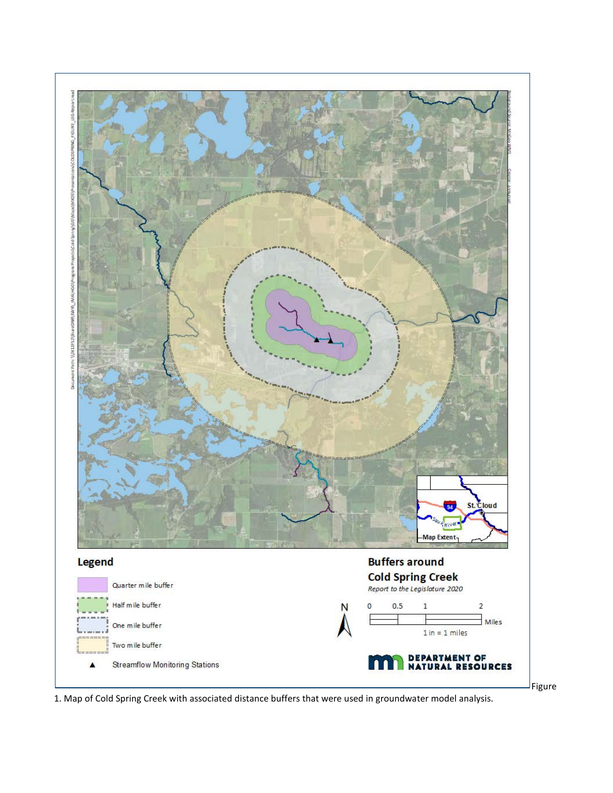

1. Map of Cold Spring Creek with associated distance buffers that were used in groundwater model analysis.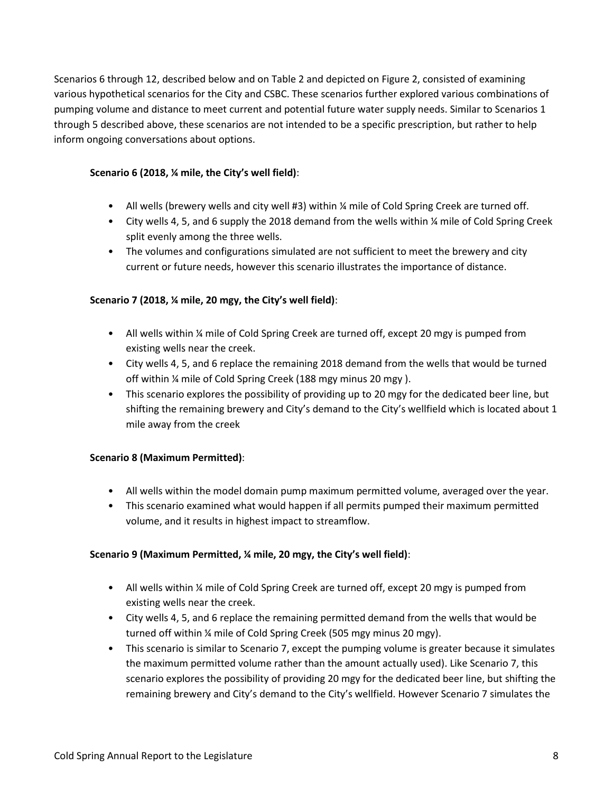Scenarios 6 through 12, described below and on Table 2 and depicted on Figure 2, consisted of examining various hypothetical scenarios for the City and CSBC. These scenarios further explored various combinations of pumping volume and distance to meet current and potential future water supply needs. Similar to Scenarios 1 through 5 described above, these scenarios are not intended to be a specific prescription, but rather to help inform ongoing conversations about options.

#### **Scenario 6 (2018, ¼ mile, the City's well field)**:

- All wells (brewery wells and city well #3) within ¼ mile of Cold Spring Creek are turned off.
- City wells 4, 5, and 6 supply the 2018 demand from the wells within 1/4 mile of Cold Spring Creek split evenly among the three wells.
- The volumes and configurations simulated are not sufficient to meet the brewery and city current or future needs, however this scenario illustrates the importance of distance.

#### **Scenario 7 (2018, ¼ mile, 20 mgy, the City's well field)**:

- All wells within ¼ mile of Cold Spring Creek are turned off, except 20 mgy is pumped from existing wells near the creek.
- City wells 4, 5, and 6 replace the remaining 2018 demand from the wells that would be turned off within ¼ mile of Cold Spring Creek (188 mgy minus 20 mgy ).
- This scenario explores the possibility of providing up to 20 mgy for the dedicated beer line, but shifting the remaining brewery and City's demand to the City's wellfield which is located about 1 mile away from the creek

#### **Scenario 8 (Maximum Permitted)**:

- All wells within the model domain pump maximum permitted volume, averaged over the year.
- This scenario examined what would happen if all permits pumped their maximum permitted volume, and it results in highest impact to streamflow.

#### **Scenario 9 (Maximum Permitted, ¼ mile, 20 mgy, the City's well field)**:

- All wells within ¼ mile of Cold Spring Creek are turned off, except 20 mgy is pumped from existing wells near the creek.
- City wells 4, 5, and 6 replace the remaining permitted demand from the wells that would be turned off within ¼ mile of Cold Spring Creek (505 mgy minus 20 mgy).
- This scenario is similar to Scenario 7, except the pumping volume is greater because it simulates the maximum permitted volume rather than the amount actually used). Like Scenario 7, this scenario explores the possibility of providing 20 mgy for the dedicated beer line, but shifting the remaining brewery and City's demand to the City's wellfield. However Scenario 7 simulates the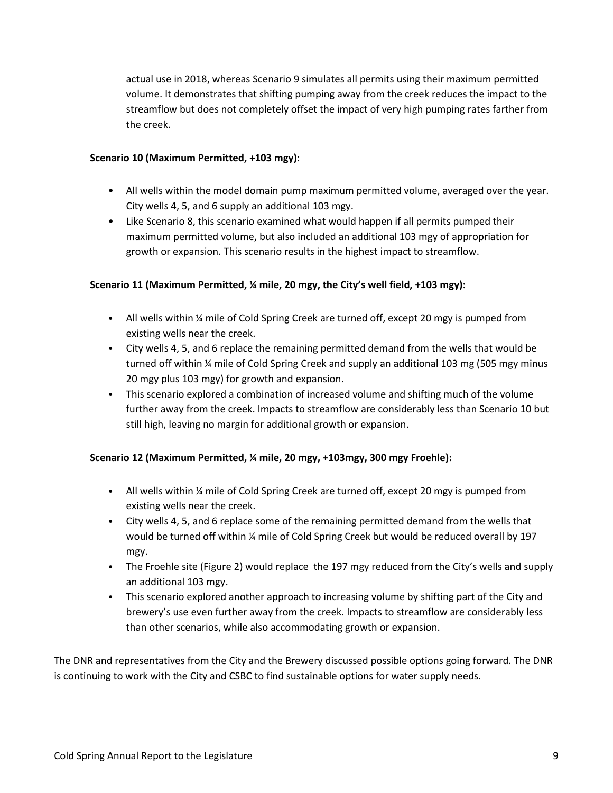actual use in 2018, whereas Scenario 9 simulates all permits using their maximum permitted volume. It demonstrates that shifting pumping away from the creek reduces the impact to the streamflow but does not completely offset the impact of very high pumping rates farther from the creek.

#### **Scenario 10 (Maximum Permitted, +103 mgy)**:

- All wells within the model domain pump maximum permitted volume, averaged over the year. City wells 4, 5, and 6 supply an additional 103 mgy.
- Like Scenario 8, this scenario examined what would happen if all permits pumped their maximum permitted volume, but also included an additional 103 mgy of appropriation for growth or expansion. This scenario results in the highest impact to streamflow.

#### **Scenario 11 (Maximum Permitted, ¼ mile, 20 mgy, the City's well field, +103 mgy):**

- All wells within ¼ mile of Cold Spring Creek are turned off, except 20 mgy is pumped from existing wells near the creek.
- City wells 4, 5, and 6 replace the remaining permitted demand from the wells that would be turned off within ¼ mile of Cold Spring Creek and supply an additional 103 mg (505 mgy minus 20 mgy plus 103 mgy) for growth and expansion.
- This scenario explored a combination of increased volume and shifting much of the volume further away from the creek. Impacts to streamflow are considerably less than Scenario 10 but still high, leaving no margin for additional growth or expansion.

#### **Scenario 12 (Maximum Permitted, ¼ mile, 20 mgy, +103mgy, 300 mgy Froehle):**

- All wells within ¼ mile of Cold Spring Creek are turned off, except 20 mgy is pumped from existing wells near the creek.
- City wells 4, 5, and 6 replace some of the remaining permitted demand from the wells that would be turned off within ¼ mile of Cold Spring Creek but would be reduced overall by 197 mgy.
- The Froehle site (Figure 2) would replace the 197 mgy reduced from the City's wells and supply an additional 103 mgy.
- This scenario explored another approach to increasing volume by shifting part of the City and brewery's use even further away from the creek. Impacts to streamflow are considerably less than other scenarios, while also accommodating growth or expansion.

The DNR and representatives from the City and the Brewery discussed possible options going forward. The DNR is continuing to work with the City and CSBC to find sustainable options for water supply needs.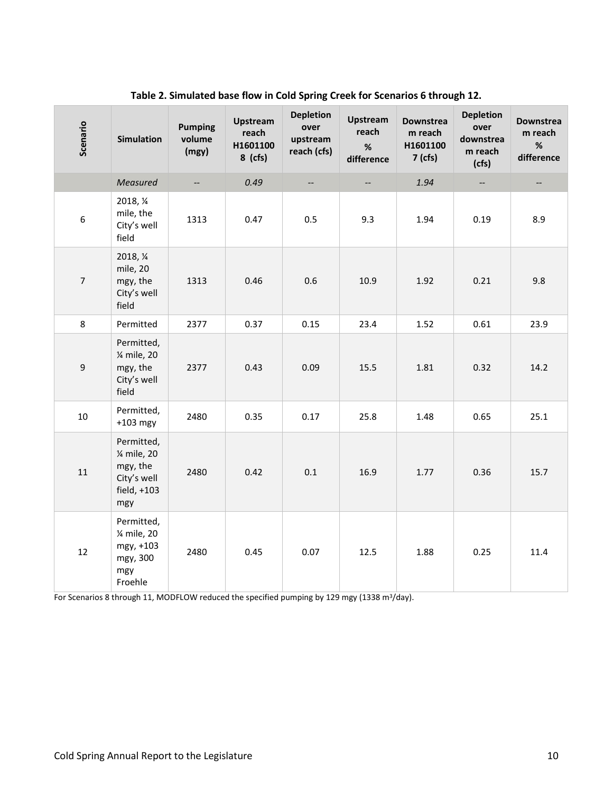| Scenario         | <b>Simulation</b>                                                           | <b>Pumping</b><br>volume<br>(mgy) | Upstream<br>reach<br>H1601100<br>$8$ (cfs) | <b>Depletion</b><br>over<br>upstream<br>reach (cfs) | <b>Upstream</b><br>reach<br>$\%$<br>difference | <b>Downstrea</b><br>m reach<br>H1601100<br>7 (cfs) | <b>Depletion</b><br>over<br>downstrea<br>m reach<br>(cfs) | <b>Downstrea</b><br>m reach<br>$\%$<br>difference |
|------------------|-----------------------------------------------------------------------------|-----------------------------------|--------------------------------------------|-----------------------------------------------------|------------------------------------------------|----------------------------------------------------|-----------------------------------------------------------|---------------------------------------------------|
|                  | Measured                                                                    |                                   | 0.49                                       | --                                                  | $-\hbox{--}$                                   | 1.94                                               |                                                           | --                                                |
| $\boldsymbol{6}$ | 2018, 1/4<br>mile, the<br>City's well<br>field                              | 1313                              | 0.47                                       | 0.5                                                 | 9.3                                            | 1.94                                               | 0.19                                                      | 8.9                                               |
| $\overline{7}$   | 2018, 1/4<br>mile, 20<br>mgy, the<br>City's well<br>field                   | 1313                              | 0.46                                       | 0.6                                                 | 10.9                                           | 1.92                                               | 0.21                                                      | 9.8                                               |
| 8                | Permitted                                                                   | 2377                              | 0.37                                       | 0.15                                                | 23.4                                           | 1.52                                               | 0.61                                                      | 23.9                                              |
| 9                | Permitted,<br>% mile, 20<br>mgy, the<br>City's well<br>field                | 2377                              | 0.43                                       | 0.09                                                | 15.5                                           | 1.81                                               | 0.32                                                      | 14.2                                              |
| 10               | Permitted,<br>$+103$ mgy                                                    | 2480                              | 0.35                                       | 0.17                                                | 25.8                                           | 1.48                                               | 0.65                                                      | 25.1                                              |
| 11               | Permitted,<br>% mile, 20<br>mgy, the<br>City's well<br>field, $+103$<br>mgy | 2480                              | 0.42                                       | 0.1                                                 | 16.9                                           | 1.77                                               | 0.36                                                      | 15.7                                              |
| 12               | Permitted,<br>% mile, 20<br>mgy, +103<br>mgy, 300<br>mgy<br>Froehle         | 2480                              | 0.45                                       | 0.07                                                | 12.5                                           | 1.88                                               | 0.25                                                      | 11.4                                              |

#### **Table 2. Simulated base flow in Cold Spring Creek for Scenarios 6 through 12.**

For Scenarios 8 through 11, MODFLOW reduced the specified pumping by 129 mgy (1338 m<sup>3</sup>/day).